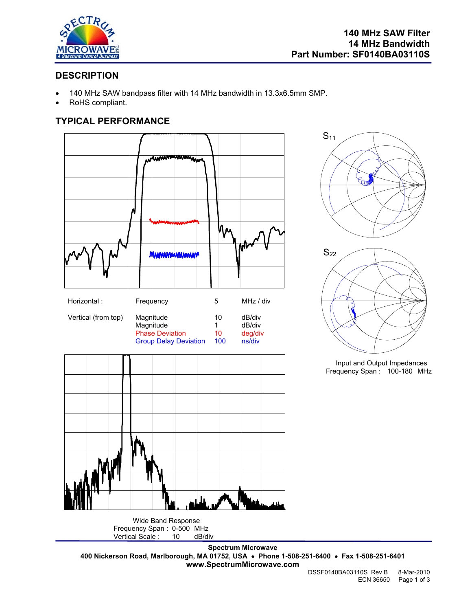

 $S_{22}$ 

 $S_{11}$ 

## **DESCRIPTION**

- 140 MHz SAW bandpass filter with 14 MHz bandwidth in 13.3x6.5mm SMP.
- RoHS compliant.

### **TYPICAL PERFORMANCE**



Frequency Span : 0-500 MHz<br>Vertical Scale : 10 dB/div Vertical Scale :

**Spectrum Microwave 400 Nickerson Road, Marlborough, MA 01752, USA** • **Phone 1-508-251-6400** • **Fax 1-508-251-6401 www.SpectrumMicrowave.com** 

Input and Output Impedances Frequency Span : 100-180 MHz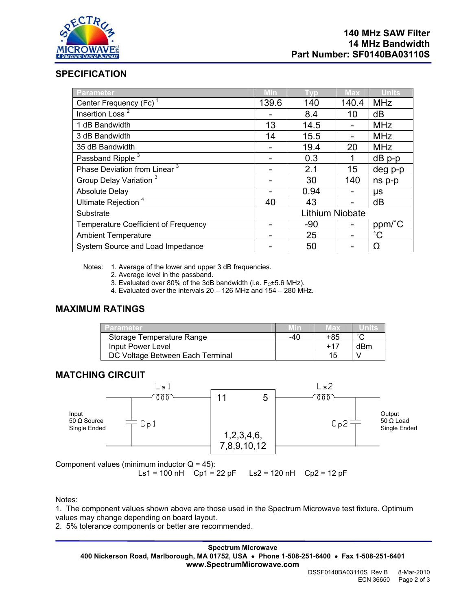

### **SPECIFICATION**

| Parameter                                   | Min             | Tvp   | <b>Max</b> | <b>Units</b> |
|---------------------------------------------|-----------------|-------|------------|--------------|
| Center Frequency (Fc) <sup>1</sup>          | 139.6           | 140   | 140.4      | <b>MHz</b>   |
| Insertion Loss <sup><math>2</math></sup>    |                 | 8.4   | 10         | dB           |
| 1 dB Bandwidth                              | 13              | 14.5  |            | <b>MHz</b>   |
| 3 dB Bandwidth                              | 14              | 15.5  |            | <b>MHz</b>   |
| 35 dB Bandwidth                             |                 | 19.4  | 20         | <b>MHz</b>   |
| Passband Ripple <sup>3</sup>                |                 | 0.3   |            | $dB$ p-p     |
| Phase Deviation from Linear <sup>3</sup>    |                 | 2.1   | 15         | deg p-p      |
| Group Delay Variation <sup>3</sup>          |                 | 30    | 140        | ns p-p       |
| <b>Absolute Delay</b>                       |                 | 0.94  |            | μs           |
| Ultimate Rejection <sup>4</sup>             | 40              | 43    |            | dB           |
| Substrate                                   | Lithium Niobate |       |            |              |
| <b>Temperature Coefficient of Frequency</b> |                 | $-90$ |            | ppm/°C       |
| <b>Ambient Temperature</b>                  |                 | 25    |            | $^{\circ}C$  |
| System Source and Load Impedance            |                 | 50    |            | Ω            |

Notes: 1. Average of the lower and upper 3 dB frequencies.

- 2. Average level in the passband.
- 3. Evaluated over 80% of the 3dB bandwidth (i.e.  $F<sub>C</sub>±5.6$  MHz).
- 4. Evaluated over the intervals 20 126 MHz and 154 280 MHz.

#### **MAXIMUM RATINGS**

| /Parameter                       |     | Max   |        |
|----------------------------------|-----|-------|--------|
| Storage Temperature Range        | -40 | +85   | $\sim$ |
| Input Power Level                |     | $+17$ | dBm    |
| DC Voltage Between Each Terminal |     | 7 h   |        |

#### **MATCHING CIRCUIT**



Component values (minimum inductor  $Q = 45$ ):

Ls1 = 100 nH Cp1 = 22 pF Ls2 = 120 nH Cp2 = 12 pF

Notes:

1. The component values shown above are those used in the Spectrum Microwave test fixture. Optimum values may change depending on board layout.

2. 5% tolerance components or better are recommended.

**Spectrum Microwave 400 Nickerson Road, Marlborough, MA 01752, USA** • **Phone 1-508-251-6400** • **Fax 1-508-251-6401 www.SpectrumMicrowave.com**